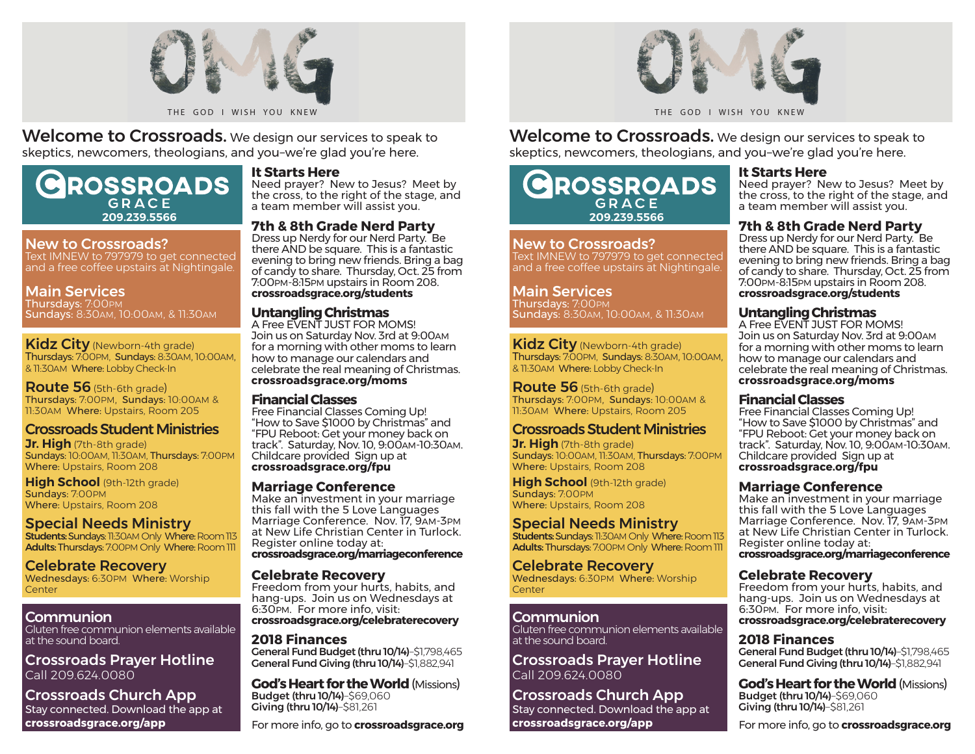

Welcome to Crossroads. We design our services to speak to skeptics, newcomers, theologians, and you–we're glad you're here.

# **ROSSROADS**  $G$   $R$   $\Delta$   $C$   $F$ **209.239.5566**

#### New to Crossroads?

Text IMNEW to 797979 to get connected and a free coffee upstairs at Nightingale.

## Main Services

Thursdays: 7:00PM Sundays: 8:30AM, 10:00AM, & 11:30AM

Kidz City (Newborn-4th grade) Thursdays: 7:00PM, Sundays: 8:30AM, 10:00AM, & 11:30AM Where: Lobby Check-In

Route 56 (5th-6th grade) Thursdays: 7:00PM, Sundays: 10:00AM & 11:30AM Where: Upstairs, Room 205

# Crossroads Student Ministries

**Jr. High** (7th-8th grade) Sundays: 10:00AM, 11:30AM, Thursdays: 7:00PM Where: Upstairs, Room 208

**High School** (9th-12th grade) Sundays: 7:00PM Where: Upstairs, Room 208

# Special Needs Ministry

Students: Sundays: 11:30AM Only Where: Room 113 Adults: Thursdays: 7:00PM Only Where: Room 111

Celebrate Recovery Wednesdays: 6:30PM Where: Worship **Center** 

## **Communion**

Gluten free communion elements available at the sound board.

Crossroads Prayer Hotline Call 209.624.0080

#### Crossroads Church App Stay connected. Download the app at **crossroadsgrace.org/app**

# **It Starts Here**

Need prayer? New to Jesus? Meet by the cross, to the right of the stage, and a team member will assist you.

## **7th & 8th Grade Nerd Party**

Dress up Nerdy for our Nerd Party. Be there AND be square. This is a fantastic evening to bring new friends. Bring a bag of candy to share. Thursday, Oct. 25 from 7:00PM-8:15PM upstairs in Room 208. **crossroadsgrace.org/students**

#### **Untangling Christmas**

A Free EVENT JUST FOR MOMS! Join us on Saturday Nov. 3rd at 9:00AM for a morning with other moms to learn how to manage our calendars and celebrate the real meaning of Christmas. **crossroadsgrace.org/moms**

#### **Financial Classes**

Free Financial Classes Coming Up! "How to Save \$1000 by Christmas" and "FPU Reboot: Get your money back on track". Saturday, Nov. 10, 9:00AM-10:30AM. Childcare provided Sign up at **crossroadsgrace.org/fpu**

#### **Marriage Conference**

Make an investment in your marriage this fall with the 5 Love Languages Marriage Conference. Nov. 17, 9AM-3PM at New Life Christian Center in Turlock.Register online today at: **crossroadsgrace.org/marriageconference**

#### **Celebrate Recovery**

Freedom from your hurts, habits, and hang-ups. Join us on Wednesdays at 6:30PM. For more info, visit: **crossroadsgrace.org/celebraterecovery**

#### **2018 Finances**

General Fund Budget (thru 10/14)–\$1,798,465 General Fund Giving (thru 10/14)–\$1,882,941

**God's Heart for the World** (Missions) Budget (thru 10/14)–\$69,060 Giving (thru 10/14)–\$81,261

For more info, go to **crossroadsgrace.org**



THE GOD I WISH YOU KNEW

Welcome to Crossroads. We design our services to speak to skeptics, newcomers, theologians, and you–we're glad you're here.

# GROSSROADS GRACE **209.239.5566**

New to Crossroads? Text IMNEW to 797979 to get connected

and a free coffee upstairs at Nightingale.

## Main Services

Thursdays: 7:00PM Sundays: 8:30AM, 10:00AM, & 11:30AM

#### **Kidz City** (Newborn-4th grade) Thursdays: 7:00PM, Sundays: 8:30AM, 10:00AM, & 11:30AM Where: Lobby Check-In

Route 56 (5th-6th grade) Thursdays: 7:00PM, Sundays: 10:00AM & 11:30AM Where: Upstairs, Room 205

# Crossroads Student Ministries

**Jr. High** (7th-8th grade) Sundays: 10:00AM, 11:30AM, Thursdays: 7:00PM Where: Upstairs, Room 208

**High School** (9th-12th grade) Sundays: 7:00PM Where: Upstairs, Room 208

# Special Needs Ministry

Students: Sundays: TI:30AM Only Where: Room 113 Adults: Thursdays: 7:00PM Only Where: Room 111

## Celebrate Recovery

Wednesdays: 6:30PM Where: Worship **Center** 

#### Communion

Gluten free communion elements available at the sound board.

Crossroads Prayer Hotline Call 209.624.0080

# Crossroads Church App

Stay connected. Download the app at **crossroadsgrace.org/app**

#### **It Starts Here**

Need prayer? New to Jesus? Meet by the cross, to the right of the stage, and a team member will assist you.

# **7th & 8th Grade Nerd Party**

Dress up Nerdy for our Nerd Party. Be there AND be square. This is a fantastic evening to bring new friends. Bring a bag of candy to share. Thursday, Oct. 25 from 7:00PM-8:15PM upstairs in Room 208. **crossroadsgrace.org/students**

## **Untangling Christmas**

A Free EVENT JUST FOR MOMS! Join us on Saturday Nov. 3rd at 9:00AM for a morning with other moms to learn how to manage our calendars and celebrate the real meaning of Christmas. **crossroadsgrace.org/moms**

## **Financial Classes**

Free Financial Classes Coming Up! "How to Save \$1000 by Christmas" and "FPU Reboot: Get your money back on track". Saturday, Nov. 10, 9:00AM-10:30AM. Childcare provided Sign up at **crossroadsgrace.org/fpu**

#### **Marriage Conference**

Make an investment in your marriage this fall with the 5 Love Languages Marriage Conference. Nov. 17, 9AM-3PM at New Life Christian Center in Turlock. Register online today at: **crossroadsgrace.org/marriageconference**

## **Celebrate Recovery**

Freedom from your hurts, habits, and hang-ups. Join us on Wednesdays at 6:30PM. For more info, visit: **crossroadsgrace.org/celebraterecovery**

#### **2018 Finances**

General Fund Budget (thru 10/14)–\$1,798,465 General Fund Giving (thru 10/14)–\$1,882,941

**God's Heart for the World** (Missions) Budget (thru 10/14)–\$69,060 Giving (thru 10/14)–\$81,261

For more info, go to **crossroadsgrace.org**